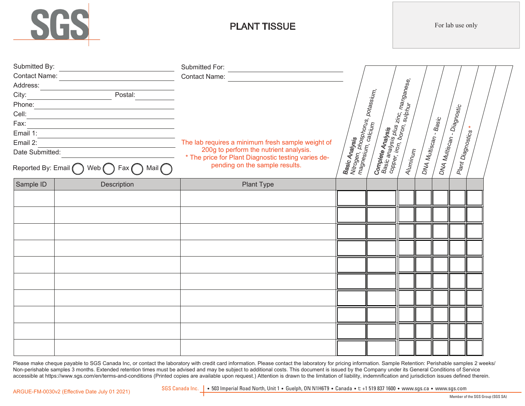

# PLANT TISSUE

For lab use only

| Submitted By:<br>Contact Name:          |             |                                                                                       |                                                                                   |                                                                                                                                  |  |                       |                                                 |  |  |
|-----------------------------------------|-------------|---------------------------------------------------------------------------------------|-----------------------------------------------------------------------------------|----------------------------------------------------------------------------------------------------------------------------------|--|-----------------------|-------------------------------------------------|--|--|
| Cell:<br>Fax:<br>Email 1:<br>Email 2:   |             | The lab requires a minimum fresh sample weight of                                     |                                                                                   |                                                                                                                                  |  |                       |                                                 |  |  |
|                                         |             |                                                                                       |                                                                                   |                                                                                                                                  |  |                       |                                                 |  |  |
|                                         |             |                                                                                       |                                                                                   |                                                                                                                                  |  |                       |                                                 |  |  |
|                                         |             |                                                                                       |                                                                                   |                                                                                                                                  |  |                       |                                                 |  |  |
|                                         |             |                                                                                       |                                                                                   |                                                                                                                                  |  | DNA Multiscan - Basic | DNA Multiscan - Diagnostic<br>Plant Diagnostics |  |  |
|                                         |             |                                                                                       |                                                                                   |                                                                                                                                  |  |                       |                                                 |  |  |
|                                         |             |                                                                                       |                                                                                   |                                                                                                                                  |  |                       |                                                 |  |  |
| Date Submitted:                         |             | 200g to perform the nutrient analysis.                                                |                                                                                   |                                                                                                                                  |  |                       |                                                 |  |  |
| Reported By: Email O Web O Fax O Mail O |             | * The price for Plant Diagnostic testing varies de-<br>pending on the sample results. | <b>Basic Analysis</b><br>Nitrogen, phosphorus,<br>Imagnesium, calcium, potassium, | <b>Complete Analysis</b><br>Basic analysis plus zinc, m <sub>anganese,<br/>copper, iron, boron, sulphur<br/>Andrea Silphur</sub> |  |                       |                                                 |  |  |
| Sample ID                               | Description | Plant Type                                                                            |                                                                                   |                                                                                                                                  |  |                       |                                                 |  |  |
|                                         |             |                                                                                       |                                                                                   |                                                                                                                                  |  |                       |                                                 |  |  |
|                                         |             |                                                                                       |                                                                                   |                                                                                                                                  |  |                       |                                                 |  |  |
|                                         |             |                                                                                       |                                                                                   |                                                                                                                                  |  |                       |                                                 |  |  |
|                                         |             |                                                                                       |                                                                                   |                                                                                                                                  |  |                       |                                                 |  |  |
|                                         |             |                                                                                       |                                                                                   |                                                                                                                                  |  |                       |                                                 |  |  |
|                                         |             |                                                                                       |                                                                                   |                                                                                                                                  |  |                       |                                                 |  |  |
|                                         |             |                                                                                       |                                                                                   |                                                                                                                                  |  |                       |                                                 |  |  |
|                                         |             |                                                                                       |                                                                                   |                                                                                                                                  |  |                       |                                                 |  |  |
|                                         |             |                                                                                       |                                                                                   |                                                                                                                                  |  |                       |                                                 |  |  |
|                                         |             |                                                                                       |                                                                                   |                                                                                                                                  |  |                       |                                                 |  |  |
|                                         |             |                                                                                       |                                                                                   |                                                                                                                                  |  |                       |                                                 |  |  |
|                                         |             |                                                                                       |                                                                                   |                                                                                                                                  |  |                       |                                                 |  |  |

Please make cheque payable to SGS Canada Inc, or contact the laboratory with credit card information. Please contact the laboratory for pricing information. Sample Retention: Perishable samples 2 weeks/ Non-perishable samples 3 months. Extended retention times must be advised and may be subject to additional costs. This document is issued by the Company under its General Conditions of Service accessible at https://www.sgs.com/en/terms-and-conditions (Printed copies are available upon request.) Attention is drawn to the limitation of liability, indemnification and jurisdiction issues defined therein.